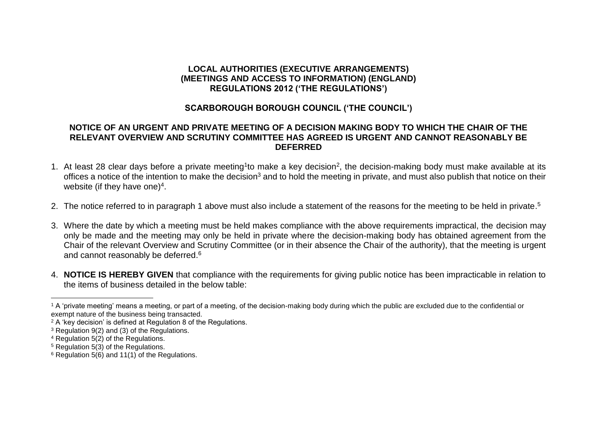## **LOCAL AUTHORITIES (EXECUTIVE ARRANGEMENTS) (MEETINGS AND ACCESS TO INFORMATION) (ENGLAND) REGULATIONS 2012 ('THE REGULATIONS')**

## **SCARBOROUGH BOROUGH COUNCIL ('THE COUNCIL')**

## **NOTICE OF AN URGENT AND PRIVATE MEETING OF A DECISION MAKING BODY TO WHICH THE CHAIR OF THE RELEVANT OVERVIEW AND SCRUTINY COMMITTEE HAS AGREED IS URGENT AND CANNOT REASONABLY BE DEFERRED**

- 1. At least 28 clear days before a private meeting<sup>1</sup>to make a key decision<sup>2</sup>, the decision-making body must make available at its offices a notice of the intention to make the decision<sup>3</sup> and to hold the meeting in private, and must also publish that notice on their website (if they have one)<sup>4</sup>.
- 2. The notice referred to in paragraph 1 above must also include a statement of the reasons for the meeting to be held in private.<sup>5</sup>
- 3. Where the date by which a meeting must be held makes compliance with the above requirements impractical, the decision may only be made and the meeting may only be held in private where the decision-making body has obtained agreement from the Chair of the relevant Overview and Scrutiny Committee (or in their absence the Chair of the authority), that the meeting is urgent and cannot reasonably be deferred.<sup>6</sup>
- 4. **NOTICE IS HEREBY GIVEN** that compliance with the requirements for giving public notice has been impracticable in relation to the items of business detailed in the below table:

<sup>&</sup>lt;sup>1</sup> A 'private meeting' means a meeting, or part of a meeting, of the decision-making body during which the public are excluded due to the confidential or exempt nature of the business being transacted.

<sup>2</sup> A 'key decision' is defined at Regulation 8 of the Regulations.

<sup>3</sup> Regulation 9(2) and (3) of the Regulations.

<sup>4</sup> Regulation 5(2) of the Regulations.

<sup>5</sup> Regulation 5(3) of the Regulations.

<sup>6</sup> Regulation 5(6) and 11(1) of the Regulations.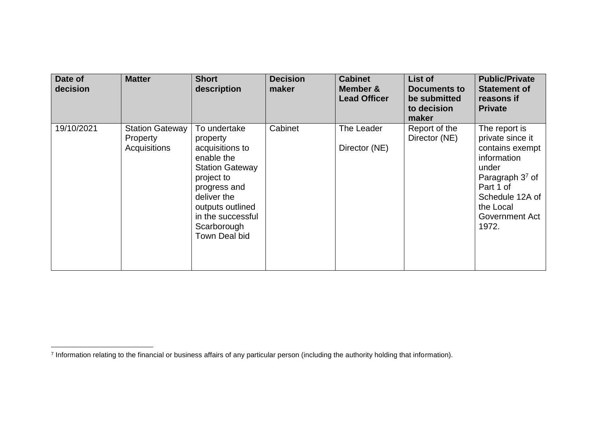| Date of<br>decision | <b>Matter</b>                                      | <b>Short</b><br>description                                                                                                                                                                               | <b>Decision</b><br>maker | <b>Cabinet</b><br>Member &<br><b>Lead Officer</b> | List of<br>Documents to<br>be submitted<br>to decision<br>maker | <b>Public/Private</b><br><b>Statement of</b><br>reasons if<br><b>Private</b>                                                                                              |
|---------------------|----------------------------------------------------|-----------------------------------------------------------------------------------------------------------------------------------------------------------------------------------------------------------|--------------------------|---------------------------------------------------|-----------------------------------------------------------------|---------------------------------------------------------------------------------------------------------------------------------------------------------------------------|
| 19/10/2021          | <b>Station Gateway</b><br>Property<br>Acquisitions | To undertake<br>property<br>acquisitions to<br>enable the<br><b>Station Gateway</b><br>project to<br>progress and<br>deliver the<br>outputs outlined<br>in the successful<br>Scarborough<br>Town Deal bid | Cabinet                  | The Leader<br>Director (NE)                       | Report of the<br>Director (NE)                                  | The report is<br>private since it<br>contains exempt<br>information<br>under<br>Paragraph $37$ of<br>Part 1 of<br>Schedule 12A of<br>the Local<br>Government Act<br>1972. |

 7 Information relating to the financial or business affairs of any particular person (including the authority holding that information).